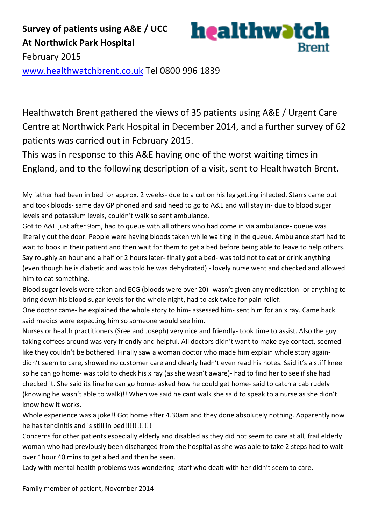Healthwatch Brent gathered the views of 35 patients using A&E / Urgent Care Centre at Northwick Park Hospital in December 2014, and a further survey of 62 patients was carried out in February 2015.

**Brent** 

This was in response to this A&E having one of the worst waiting times in England, and to the following description of a visit, sent to Healthwatch Brent.

My father had been in bed for approx. 2 weeks- due to a cut on his leg getting infected. Starrs came out and took bloods- same day GP phoned and said need to go to A&E and will stay in- due to blood sugar levels and potassium levels, couldn't walk so sent ambulance.

Got to A&E just after 9pm, had to queue with all others who had come in via ambulance- queue was literally out the door. People were having bloods taken while waiting in the queue. Ambulance staff had to wait to book in their patient and then wait for them to get a bed before being able to leave to help others. Say roughly an hour and a half or 2 hours later- finally got a bed- was told not to eat or drink anything (even though he is diabetic and was told he was dehydrated) - lovely nurse went and checked and allowed him to eat something.

Blood sugar levels were taken and ECG (bloods were over 20)- wasn't given any medication- or anything to bring down his blood sugar levels for the whole night, had to ask twice for pain relief.

One doctor came- he explained the whole story to him- assessed him- sent him for an x ray. Came back said medics were expecting him so someone would see him.

Nurses or health practitioners (Sree and Joseph) very nice and friendly- took time to assist. Also the guy taking coffees around was very friendly and helpful. All doctors didn't want to make eye contact, seemed like they couldn't be bothered. Finally saw a woman doctor who made him explain whole story againdidn't seem to care, showed no customer care and clearly hadn't even read his notes. Said it's a stiff knee so he can go home- was told to check his x ray (as she wasn't aware)- had to find her to see if she had checked it. She said its fine he can go home- asked how he could get home- said to catch a cab rudely (knowing he wasn't able to walk)!! When we said he cant walk she said to speak to a nurse as she didn't know how it works.

Whole experience was a joke!! Got home after 4.30am and they done absolutely nothing. Apparently now he has tendinitis and is still in bed!!!!!!!!!!!!!

Concerns for other patients especially elderly and disabled as they did not seem to care at all, frail elderly woman who had previously been discharged from the hospital as she was able to take 2 steps had to wait over 1hour 40 mins to get a bed and then be seen.

Lady with mental health problems was wondering- staff who dealt with her didn't seem to care.

Family member of patient, November 2014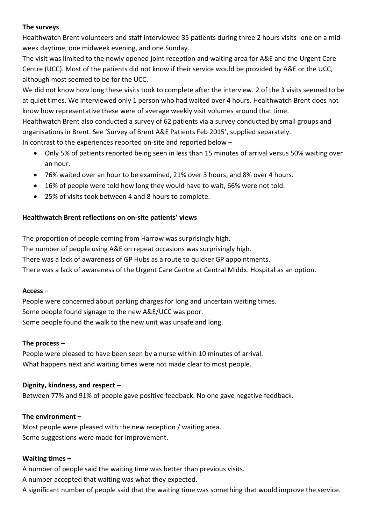## **The surveys**

Healthwatch Brent volunteers and staff interviewed 35 patients during three 2 hours visits -one on a midweek daytime, one midweek evening, and one Sunday.

The visit was limited to the newly opened joint reception and waiting area for A&E and the Urgent Care Centre (UCC). Most of the patients did not know if their service would be provided by A&E or the UCC, although most seemed to be for the UCC.

We did not know how long these visits took to complete after the interview. 2 of the 3 visits seemed to be at quiet times. We interviewed only 1 person who had waited over 4 hours. Healthwatch Brent does not know how representative these were of average weekly visit volumes around that time. Healthwatch Brent also conducted a survey of 62 patients via a survey conducted by small groups and organisations in Brent. See 'Survey of Brent A&E Patients Feb 2015', supplied separately. In contrast to the experiences reported on-site and reported below –

- Only 5% of patients reported being seen in less than 15 minutes of arrival versus 50% waiting over an hour.
- 76% waited over an hour to be examined, 21% over 3 hours, and 8% over 4 hours.
- 16% of people were told how long they would have to wait, 66% were not told.
- 25% of visits took between 4 and 8 hours to complete.

# **Healthwatch Brent reflections on on-site patients' views**

The proportion of people coming from Harrow was surprisingly high. The number of people using A&E on repeat occasions was surprisingly high. There was a lack of awareness of GP Hubs as a route to quicker GP appointments. There was a lack of awareness of the Urgent Care Centre at Central Middx. Hospital as an option.

# **Access –**

People were concerned about parking charges for long and uncertain waiting times. Some people found signage to the new A&E/UCC was poor. Some people found the walk to the new unit was unsafe and long.

# **The process –**

People were pleased to have been seen by a nurse within 10 minutes of arrival. What happens next and waiting times were not made clear to most people.

# **Dignity, kindness, and respect –**

Between 77% and 91% of people gave positive feedback. No one gave negative feedback.

# **The environment –**

Most people were pleased with the new reception / waiting area. Some suggestions were made for improvement.

#### **Waiting times –**

A number of people said the waiting time was better than previous visits.

A number accepted that waiting was what they expected.

A significant number of people said that the waiting time was something that would improve the service.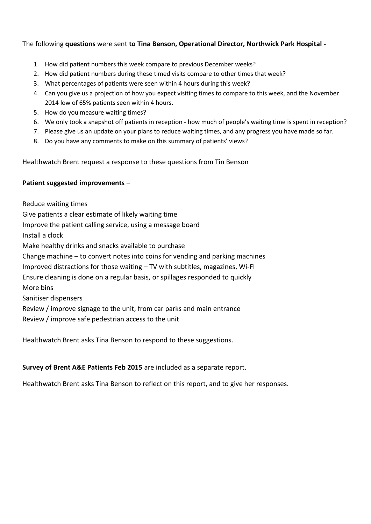## The following **questions** were sent **to Tina Benson, Operational Director, Northwick Park Hospital -**

- 1. How did patient numbers this week compare to previous December weeks?
- 2. How did patient numbers during these timed visits compare to other times that week?
- 3. What percentages of patients were seen within 4 hours during this week?
- 4. Can you give us a projection of how you expect visiting times to compare to this week, and the November 2014 low of 65% patients seen within 4 hours.
- 5. How do you measure waiting times?
- 6. We only took a snapshot off patients in reception how much of people's waiting time is spent in reception?
- 7. Please give us an update on your plans to reduce waiting times, and any progress you have made so far.
- 8. Do you have any comments to make on this summary of patients' views?

Healthwatch Brent request a response to these questions from Tin Benson

#### **Patient suggested improvements –**

Reduce waiting times Give patients a clear estimate of likely waiting time Improve the patient calling service, using a message board Install a clock Make healthy drinks and snacks available to purchase Change machine – to convert notes into coins for vending and parking machines Improved distractions for those waiting – TV with subtitles, magazines, Wi-FI Ensure cleaning is done on a regular basis, or spillages responded to quickly More bins Sanitiser dispensers Review / improve signage to the unit, from car parks and main entrance Review / improve safe pedestrian access to the unit

Healthwatch Brent asks Tina Benson to respond to these suggestions.

#### **Survey of Brent A&E Patients Feb 2015** are included as a separate report.

Healthwatch Brent asks Tina Benson to reflect on this report, and to give her responses.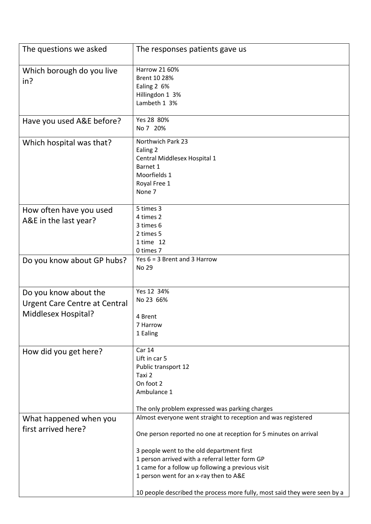| The questions we asked                                                               | The responses patients gave us                                                                                                                                                                                                                                                                                                   |
|--------------------------------------------------------------------------------------|----------------------------------------------------------------------------------------------------------------------------------------------------------------------------------------------------------------------------------------------------------------------------------------------------------------------------------|
| Which borough do you live<br>in?                                                     | Harrow 21 60%<br>Brent 10 28%<br>Ealing 2 6%<br>Hillingdon 1 3%<br>Lambeth 1 3%                                                                                                                                                                                                                                                  |
| Have you used A&E before?                                                            | Yes 28 80%<br>No 7 20%                                                                                                                                                                                                                                                                                                           |
| Which hospital was that?                                                             | Northwich Park 23<br>Ealing 2<br>Central Middlesex Hospital 1<br>Barnet 1<br>Moorfields 1<br>Royal Free 1<br>None 7                                                                                                                                                                                                              |
| How often have you used<br>A&E in the last year?                                     | 5 times 3<br>4 times 2<br>3 times 6<br>2 times 5<br>1 time 12<br>0 times 7                                                                                                                                                                                                                                                       |
| Do you know about GP hubs?                                                           | Yes $6 = 3$ Brent and 3 Harrow<br>No 29                                                                                                                                                                                                                                                                                          |
| Do you know about the<br><b>Urgent Care Centre at Central</b><br>Middlesex Hospital? | Yes 12 34%<br>No 23 66%<br>4 Brent<br>7 Harrow<br>1 Ealing                                                                                                                                                                                                                                                                       |
| How did you get here?                                                                | <b>Car 14</b><br>Lift in car 5<br>Public transport 12<br>Taxi 2<br>On foot 2<br>Ambulance 1<br>The only problem expressed was parking charges                                                                                                                                                                                    |
| What happened when you<br>first arrived here?                                        | Almost everyone went straight to reception and was registered<br>One person reported no one at reception for 5 minutes on arrival<br>3 people went to the old department first<br>1 person arrived with a referral letter form GP<br>1 came for a follow up following a previous visit<br>1 person went for an x-ray then to A&E |
|                                                                                      | 10 people described the process more fully, most said they were seen by a                                                                                                                                                                                                                                                        |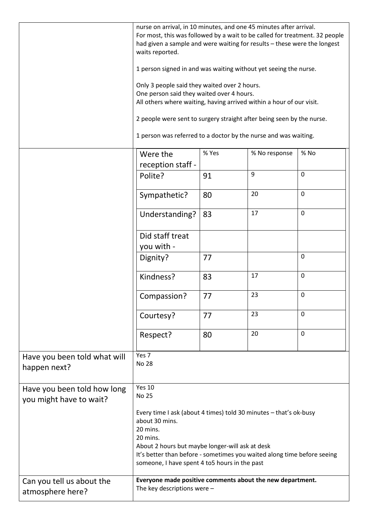|                                                        | nurse on arrival, in 10 minutes, and one 45 minutes after arrival.<br>For most, this was followed by a wait to be called for treatment. 32 people<br>had given a sample and were waiting for results - these were the longest<br>waits reported.<br>1 person signed in and was waiting without yet seeing the nurse.<br>Only 3 people said they waited over 2 hours.<br>One person said they waited over 4 hours.<br>All others where waiting, having arrived within a hour of our visit.<br>2 people were sent to surgery straight after being seen by the nurse. |       |               |                  |
|--------------------------------------------------------|--------------------------------------------------------------------------------------------------------------------------------------------------------------------------------------------------------------------------------------------------------------------------------------------------------------------------------------------------------------------------------------------------------------------------------------------------------------------------------------------------------------------------------------------------------------------|-------|---------------|------------------|
|                                                        | 1 person was referred to a doctor by the nurse and was waiting.                                                                                                                                                                                                                                                                                                                                                                                                                                                                                                    |       |               |                  |
|                                                        | Were the<br>reception staff -                                                                                                                                                                                                                                                                                                                                                                                                                                                                                                                                      | % Yes | % No response | % No             |
|                                                        | Polite?                                                                                                                                                                                                                                                                                                                                                                                                                                                                                                                                                            | 91    | 9             | $\mathbf 0$      |
|                                                        | Sympathetic?                                                                                                                                                                                                                                                                                                                                                                                                                                                                                                                                                       | 80    | 20            | $\mathbf 0$      |
|                                                        | Understanding?                                                                                                                                                                                                                                                                                                                                                                                                                                                                                                                                                     | 83    | 17            | $\mathbf 0$      |
|                                                        | Did staff treat<br>you with -                                                                                                                                                                                                                                                                                                                                                                                                                                                                                                                                      |       |               |                  |
|                                                        | Dignity?                                                                                                                                                                                                                                                                                                                                                                                                                                                                                                                                                           | 77    |               | $\boldsymbol{0}$ |
|                                                        | Kindness?                                                                                                                                                                                                                                                                                                                                                                                                                                                                                                                                                          | 83    | 17            | $\mathbf 0$      |
|                                                        | Compassion?                                                                                                                                                                                                                                                                                                                                                                                                                                                                                                                                                        | 77    | 23            | $\boldsymbol{0}$ |
|                                                        | Courtesy?                                                                                                                                                                                                                                                                                                                                                                                                                                                                                                                                                          | 77    | 23            | 0                |
|                                                        | Respect?                                                                                                                                                                                                                                                                                                                                                                                                                                                                                                                                                           | 80    | 20            | $\mathbf 0$      |
| Have you been told what will<br>happen next?           | Yes 7<br><b>No 28</b>                                                                                                                                                                                                                                                                                                                                                                                                                                                                                                                                              |       |               |                  |
| Have you been told how long<br>you might have to wait? | <b>Yes 10</b><br><b>No 25</b>                                                                                                                                                                                                                                                                                                                                                                                                                                                                                                                                      |       |               |                  |
|                                                        | Every time I ask (about 4 times) told 30 minutes - that's ok-busy<br>about 30 mins.<br>20 mins.<br>20 mins.<br>About 2 hours but maybe longer-will ask at desk<br>It's better than before - sometimes you waited along time before seeing<br>someone, I have spent 4 to 5 hours in the past                                                                                                                                                                                                                                                                        |       |               |                  |
| Can you tell us about the<br>atmosphere here?          | Everyone made positive comments about the new department.<br>The key descriptions were $-$                                                                                                                                                                                                                                                                                                                                                                                                                                                                         |       |               |                  |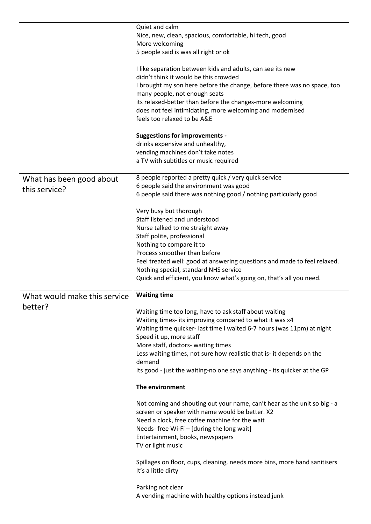|                                           | Quiet and calm<br>Nice, new, clean, spacious, comfortable, hi tech, good<br>More welcoming<br>5 people said is was all right or ok<br>I like separation between kids and adults, can see its new<br>didn't think it would be this crowded<br>I brought my son here before the change, before there was no space, too<br>many people, not enough seats<br>its relaxed-better than before the changes-more welcoming<br>does not feel intimidating, more welcoming and modernised<br>feels too relaxed to be A&E<br><b>Suggestions for improvements -</b>                                                                                                                                                                                                                                                                                                                                                                                       |
|-------------------------------------------|-----------------------------------------------------------------------------------------------------------------------------------------------------------------------------------------------------------------------------------------------------------------------------------------------------------------------------------------------------------------------------------------------------------------------------------------------------------------------------------------------------------------------------------------------------------------------------------------------------------------------------------------------------------------------------------------------------------------------------------------------------------------------------------------------------------------------------------------------------------------------------------------------------------------------------------------------|
|                                           | drinks expensive and unhealthy,<br>vending machines don't take notes<br>a TV with subtitles or music required                                                                                                                                                                                                                                                                                                                                                                                                                                                                                                                                                                                                                                                                                                                                                                                                                                 |
| What has been good about<br>this service? | 8 people reported a pretty quick / very quick service<br>6 people said the environment was good<br>6 people said there was nothing good / nothing particularly good<br>Very busy but thorough<br>Staff listened and understood<br>Nurse talked to me straight away<br>Staff polite, professional<br>Nothing to compare it to<br>Process smoother than before<br>Feel treated well: good at answering questions and made to feel relaxed.<br>Nothing special, standard NHS service<br>Quick and efficient, you know what's going on, that's all you need.                                                                                                                                                                                                                                                                                                                                                                                      |
| What would make this service<br>better?   | <b>Waiting time</b><br>Waiting time too long, have to ask staff about waiting<br>Waiting times- its improving compared to what it was x4<br>Waiting time quicker- last time I waited 6-7 hours (was 11pm) at night<br>Speed it up, more staff<br>More staff, doctors- waiting times<br>Less waiting times, not sure how realistic that is- it depends on the<br>demand<br>Its good - just the waiting-no one says anything - its quicker at the GP<br>The environment<br>Not coming and shouting out your name, can't hear as the unit so big - a<br>screen or speaker with name would be better. X2<br>Need a clock, free coffee machine for the wait<br>Needs- free Wi-Fi - [during the long wait]<br>Entertainment, books, newspapers<br>TV or light music<br>Spillages on floor, cups, cleaning, needs more bins, more hand sanitisers<br>It's a little dirty<br>Parking not clear<br>A vending machine with healthy options instead junk |